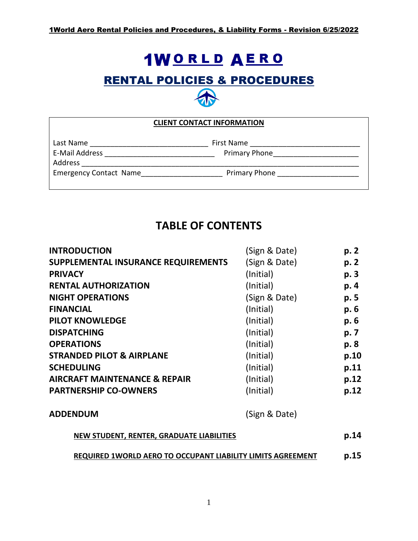# **1WORLD AERO**

## RENTAL POLICIES & PROCEDURES



| <b>CLIENT CONTACT INFORMATION</b> |                      |  |  |  |
|-----------------------------------|----------------------|--|--|--|
| Last Name                         | First Name           |  |  |  |
| E-Mail Address                    | <b>Primary Phone</b> |  |  |  |
| Address                           |                      |  |  |  |
| <b>Emergency Contact Name</b>     | Primary Phone        |  |  |  |
|                                   |                      |  |  |  |

## **TABLE OF CONTENTS**

| <b>INTRODUCTION</b>                                         | (Sign & Date) | p. 2 |
|-------------------------------------------------------------|---------------|------|
| SUPPLEMENTAL INSURANCE REQUIREMENTS                         | (Sign & Date) | p. 2 |
| <b>PRIVACY</b>                                              | (Initial)     | p. 3 |
| <b>RENTAL AUTHORIZATION</b>                                 | (Initial)     | p. 4 |
| <b>NIGHT OPERATIONS</b>                                     | (Sign & Date) | p. 5 |
| <b>FINANCIAL</b>                                            | (Initial)     | p. 6 |
| <b>PILOT KNOWLEDGE</b>                                      | (Initial)     | p. 6 |
| <b>DISPATCHING</b>                                          | (Initial)     | p. 7 |
| <b>OPERATIONS</b>                                           | (Initial)     | p. 8 |
| <b>STRANDED PILOT &amp; AIRPLANE</b>                        | (Initial)     | p.10 |
| <b>SCHEDULING</b>                                           | (Initial)     | p.11 |
| <b>AIRCRAFT MAINTENANCE &amp; REPAIR</b>                    | (Initial)     | p.12 |
| <b>PARTNERSHIP CO-OWNERS</b>                                | (Initial)     | p.12 |
| <b>ADDENDUM</b>                                             | (Sign & Date) |      |
| <b>NEW STUDENT, RENTER, GRADUATE LIABILITIES</b>            |               |      |
| REQUIRED 1WORLD AERO TO OCCUPANT LIABILITY LIMITS AGREEMENT |               |      |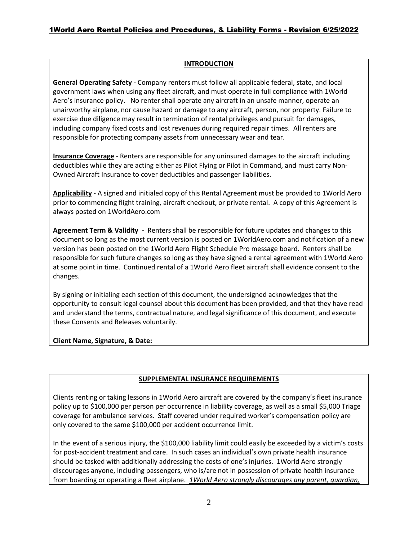#### **INTRODUCTION**

**General Operating Safety -** Company renters must follow all applicable federal, state, and local government laws when using any fleet aircraft, and must operate in full compliance with 1World Aero's insurance policy.No renter shall operate any aircraft in an unsafe manner, operate an unairworthy airplane, nor cause hazard or damage to any aircraft, person, nor property. Failure to exercise due diligence may result in termination of rental privileges and pursuit for damages, including company fixed costs and lost revenues during required repair times. All renters are responsible for protecting company assets from unnecessary wear and tear.

**Insurance Coverage** - Renters are responsible for any uninsured damages to the aircraft including deductibles while they are acting either as Pilot Flying or Pilot in Command, and must carry Non-Owned Aircraft Insurance to cover deductibles and passenger liabilities.

**Applicability** - A signed and initialed copy of this Rental Agreement must be provided to 1World Aero prior to commencing flight training, aircraft checkout, or private rental. A copy of this Agreement is always posted on 1WorldAero.com

**Agreement Term & Validity -** Renters shall be responsible for future updates and changes to this document so long as the most current version is posted on 1WorldAero.com and notification of a new version has been posted on the 1World Aero Flight Schedule Pro message board. Renters shall be responsible for such future changes so long as they have signed a rental agreement with 1World Aero at some point in time. Continued rental of a 1World Aero fleet aircraft shall evidence consent to the changes.

By signing or initialing each section of this document, the undersigned acknowledges that the opportunity to consult legal counsel about this document has been provided, and that they have read and understand the terms, contractual nature, and legal significance of this document, and execute these Consents and Releases voluntarily.

**Client Name, Signature, & Date:**

#### **SUPPLEMENTAL INSURANCE REQUIREMENTS**

Clients renting or taking lessons in 1World Aero aircraft are covered by the company's fleet insurance policy up to \$100,000 per person per occurrence in liability coverage, as well as a small \$5,000 Triage coverage for ambulance services. Staff covered under required worker's compensation policy are only covered to the same \$100,000 per accident occurrence limit.

In the event of a serious injury, the \$100,000 liability limit could easily be exceeded by a victim's costs for post-accident treatment and care. In such cases an individual's own private health insurance should be tasked with additionally addressing the costs of one's injuries. 1World Aero strongly discourages anyone, including passengers, who is/are not in possession of private health insurance from boarding or operating a fleet airplane. *1World Aero strongly discourages any parent, guardian,*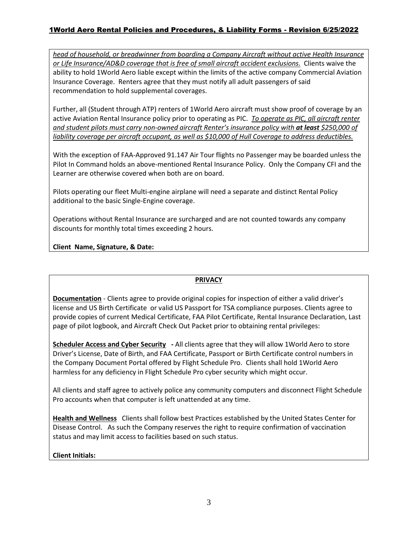#### 1World Aero Rental Policies and Procedures, & Liability Forms - Revision 6/25/2022

*head of household, or breadwinner from boarding a Company Aircraft without active Health Insurance or Life Insurance/AD&D coverage that is free of small aircraft accident exclusions.* Clients waive the ability to hold 1World Aero liable except within the limits of the active company Commercial Aviation Insurance Coverage. Renters agree that they must notify all adult passengers of said recommendation to hold supplemental coverages.

Further, all (Student through ATP) renters of 1World Aero aircraft must show proof of coverage by an active Aviation Rental Insurance policy prior to operating as PIC. *To operate as PIC, all aircraft renter and student pilots must carry non-owned aircraft Renter's insurance policy with at least \$250,000 of liability coverage per aircraft occupant, as well as \$10,000 of Hull Coverage to address deductibles.*

With the exception of FAA-Approved 91.147 Air Tour flights no Passenger may be boarded unless the Pilot In Command holds an above-mentioned Rental Insurance Policy. Only the Company CFI and the Learner are otherwise covered when both are on board.

Pilots operating our fleet Multi-engine airplane will need a separate and distinct Rental Policy additional to the basic Single-Engine coverage.

Operations without Rental Insurance are surcharged and are not counted towards any company discounts for monthly total times exceeding 2 hours.

**Client Name, Signature, & Date:**

#### **PRIVACY**

**Documentation** - Clients agree to provide original copies for inspection of either a valid driver's license and US Birth Certificate or valid US Passport for TSA compliance purposes. Clients agree to provide copies of current Medical Certificate, FAA Pilot Certificate, Rental Insurance Declaration, Last page of pilot logbook, and Aircraft Check Out Packet prior to obtaining rental privileges:

**Scheduler Access and Cyber Security -** All clients agree that they will allow 1World Aero to store Driver's License, Date of Birth, and FAA Certificate, Passport or Birth Certificate control numbers in the Company Document Portal offered by Flight Schedule Pro. Clients shall hold 1World Aero harmless for any deficiency in Flight Schedule Pro cyber security which might occur.

All clients and staff agree to actively police any community computers and disconnect Flight Schedule Pro accounts when that computer is left unattended at any time.

**Health and Wellness** Clients shall follow best Practices established by the United States Center for Disease Control. As such the Company reserves the right to require confirmation of vaccination status and may limit access to facilities based on such status.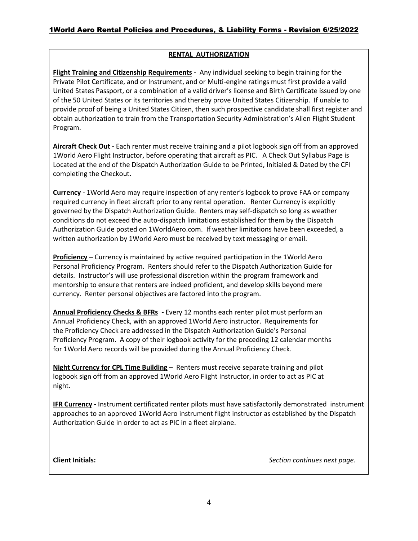#### **RENTAL AUTHORIZATION**

**Flight Training and Citizenship Requirements -** Any individual seeking to begin training for the Private Pilot Certificate, and or Instrument, and or Multi-engine ratings must first provide a valid United States Passport, or a combination of a valid driver's license and Birth Certificate issued by one of the 50 United States or its territories and thereby prove United States Citizenship. If unable to provide proof of being a United States Citizen, then such prospective candidate shall first register and obtain authorization to train from the Transportation Security Administration's Alien Flight Student Program.

**Aircraft Check Out -** Each renter must receive training and a pilot logbook sign off from an approved 1World Aero Flight Instructor, before operating that aircraft as PIC. A Check Out Syllabus Page is Located at the end of the Dispatch Authorization Guide to be Printed, Initialed & Dated by the CFI completing the Checkout.

**Currency -** 1World Aero may require inspection of any renter's logbook to prove FAA or company required currency in fleet aircraft prior to any rental operation.Renter Currency is explicitly governed by the Dispatch Authorization Guide. Renters may self-dispatch so long as weather conditions do not exceed the auto-dispatch limitations established for them by the Dispatch Authorization Guide posted on 1WorldAero.com. If weather limitations have been exceeded, a written authorization by 1World Aero must be received by text messaging or email.

**Proficiency –** Currency is maintained by active required participation in the 1World Aero Personal Proficiency Program. Renters should refer to the Dispatch Authorization Guide for details. Instructor's will use professional discretion within the program framework and mentorship to ensure that renters are indeed proficient, and develop skills beyond mere currency. Renter personal objectives are factored into the program.

**Annual Proficiency Checks & BFRs -** Every 12 months each renter pilot must perform an Annual Proficiency Check, with an approved 1World Aero instructor. Requirements for the Proficiency Check are addressed in the Dispatch Authorization Guide's Personal Proficiency Program. A copy of their logbook activity for the preceding 12 calendar months for 1World Aero records will be provided during the Annual Proficiency Check.

**Night Currency for CPL Time Building** – Renters must receive separate training and pilot logbook sign off from an approved 1World Aero Flight Instructor, in order to act as PIC at night.

**IFR Currency -** Instrument certificated renter pilots must have satisfactorily demonstrated instrument approaches to an approved 1World Aero instrument flight instructor as established by the Dispatch Authorization Guide in order to act as PIC in a fleet airplane.

**Client Initials:** *Section continues next page.*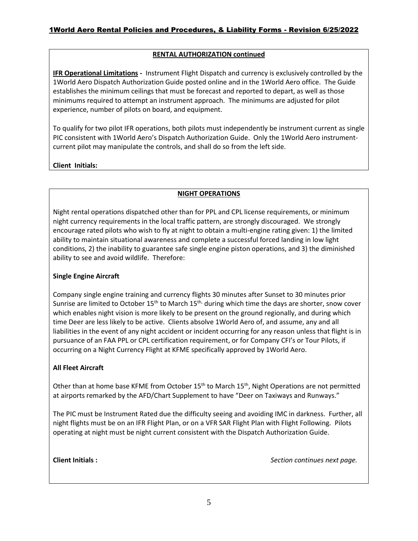#### **RENTAL AUTHORIZATION continued**

**IFR Operational Limitations -** Instrument Flight Dispatch and currency is exclusively controlled by the 1World Aero Dispatch Authorization Guide posted online and in the 1World Aero office. The Guide establishes the minimum ceilings that must be forecast and reported to depart, as well as those minimums required to attempt an instrument approach. The minimums are adjusted for pilot experience, number of pilots on board, and equipment.

To qualify for two pilot IFR operations, both pilots must independently be instrument current as single PIC consistent with 1World Aero's Dispatch Authorization Guide. Only the 1World Aero instrumentcurrent pilot may manipulate the controls, and shall do so from the left side.

**Client Initials:** 

#### **NIGHT OPERATIONS**

Night rental operations dispatched other than for PPL and CPL license requirements, or minimum night currency requirements in the local traffic pattern, are strongly discouraged. We strongly encourage rated pilots who wish to fly at night to obtain a multi-engine rating given: 1) the limited ability to maintain situational awareness and complete a successful forced landing in low light conditions, 2) the inability to guarantee safe single engine piston operations, and 3) the diminished ability to see and avoid wildlife. Therefore:

#### **Single Engine Aircraft**

Company single engine training and currency flights 30 minutes after Sunset to 30 minutes prior Sunrise are limited to October  $15<sup>th</sup>$  to March  $15<sup>th</sup>$ , during which time the days are shorter, snow cover which enables night vision is more likely to be present on the ground regionally, and during which time Deer are less likely to be active. Clients absolve 1World Aero of, and assume, any and all liabilities in the event of any night accident or incident occurring for any reason unless that flight is in pursuance of an FAA PPL or CPL certification requirement, or for Company CFI's or Tour Pilots, if occurring on a Night Currency Flight at KFME specifically approved by 1World Aero.

#### **All Fleet Aircraft**

Other than at home base KFME from October 15<sup>th</sup> to March 15<sup>th</sup>, Night Operations are not permitted at airports remarked by the AFD/Chart Supplement to have "Deer on Taxiways and Runways."

The PIC must be Instrument Rated due the difficulty seeing and avoiding IMC in darkness. Further, all night flights must be on an IFR Flight Plan, or on a VFR SAR Flight Plan with Flight Following. Pilots operating at night must be night current consistent with the Dispatch Authorization Guide.

**Client Initials :** *Section continues next page.*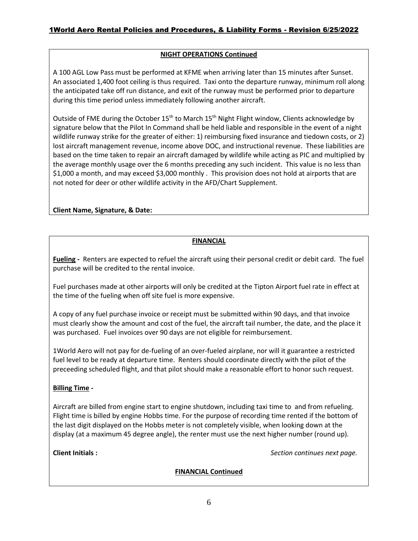#### **NIGHT OPERATIONS Continued**

A 100 AGL Low Pass must be performed at KFME when arriving later than 15 minutes after Sunset. An associated 1,400 foot ceiling is thus required. Taxi onto the departure runway, minimum roll along the anticipated take off run distance, and exit of the runway must be performed prior to departure during this time period unless immediately following another aircraft.

Outside of FME during the October  $15<sup>th</sup>$  to March  $15<sup>th</sup>$  Night Flight window, Clients acknowledge by signature below that the Pilot In Command shall be held liable and responsible in the event of a night wildlife runway strike for the greater of either: 1) reimbursing fixed insurance and tiedown costs, or 2) lost aircraft management revenue, income above DOC, and instructional revenue. These liabilities are based on the time taken to repair an aircraft damaged by wildlife while acting as PIC and multiplied by the average monthly usage over the 6 months preceding any such incident. This value is no less than \$1,000 a month, and may exceed \$3,000 monthly . This provision does not hold at airports that are not noted for deer or other wildlife activity in the AFD/Chart Supplement.

**Client Name, Signature, & Date:**

#### **FINANCIAL**

**Fueling -** Renters are expected to refuel the aircraft using their personal credit or debit card. The fuel purchase will be credited to the rental invoice.

Fuel purchases made at other airports will only be credited at the Tipton Airport fuel rate in effect at the time of the fueling when off site fuel is more expensive.

A copy of any fuel purchase invoice or receipt must be submitted within 90 days, and that invoice must clearly show the amount and cost of the fuel, the aircraft tail number, the date, and the place it was purchased. Fuel invoices over 90 days are not eligible for reimbursement.

1World Aero will not pay for de-fueling of an over-fueled airplane, nor will it guarantee a restricted fuel level to be ready at departure time. Renters should coordinate directly with the pilot of the preceeding scheduled flight, and that pilot should make a reasonable effort to honor such request.

#### **Billing Time -**

Aircraft are billed from engine start to engine shutdown, including taxi time to and from refueling. Flight time is billed by engine Hobbs time. For the purpose of recording time rented if the bottom of the last digit displayed on the Hobbs meter is not completely visible, when looking down at the display (at a maximum 45 degree angle), the renter must use the next higher number (round up).

**Client Initials :** *Section continues next page.*

**FINANCIAL Continued**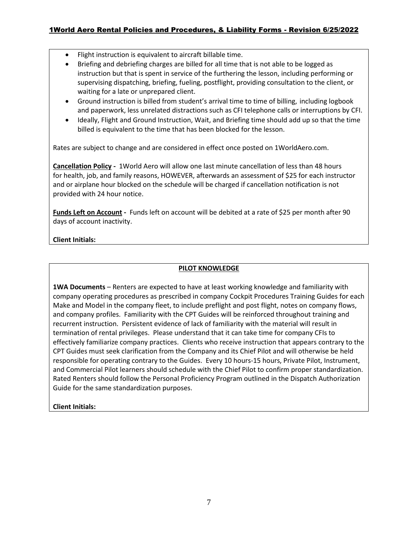#### 1World Aero Rental Policies and Procedures, & Liability Forms - Revision 6/25/2022

- Flight instruction is equivalent to aircraft billable time.
- Briefing and debriefing charges are billed for all time that is not able to be logged as instruction but that is spent in service of the furthering the lesson, including performing or supervising dispatching, briefing, fueling, postflight, providing consultation to the client, or waiting for a late or unprepared client.
- Ground instruction is billed from student's arrival time to time of billing, including logbook and paperwork, less unrelated distractions such as CFI telephone calls or interruptions by CFI.
- Ideally, Flight and Ground Instruction, Wait, and Briefing time should add up so that the time billed is equivalent to the time that has been blocked for the lesson.

Rates are subject to change and are considered in effect once posted on 1WorldAero.com.

**Cancellation Policy -** 1World Aero will allow one last minute cancellation of less than 48 hours for health, job, and family reasons, HOWEVER, afterwards an assessment of \$25 for each instructor and or airplane hour blocked on the schedule will be charged if cancellation notification is not provided with 24 hour notice.

**Funds Left on Account -** Funds left on account will be debited at a rate of \$25 per month after 90 days of account inactivity.

#### **Client Initials:**

#### **PILOT KNOWLEDGE**

**1WA Documents** – Renters are expected to have at least working knowledge and familiarity with company operating procedures as prescribed in company Cockpit Procedures Training Guides for each Make and Model in the company fleet, to include preflight and post flight, notes on company flows, and company profiles. Familiarity with the CPT Guides will be reinforced throughout training and recurrent instruction. Persistent evidence of lack of familiarity with the material will result in termination of rental privileges. Please understand that it can take time for company CFIs to effectively familiarize company practices. Clients who receive instruction that appears contrary to the CPT Guides must seek clarification from the Company and its Chief Pilot and will otherwise be held responsible for operating contrary to the Guides. Every 10 hours-15 hours, Private Pilot, Instrument, and Commercial Pilot learners should schedule with the Chief Pilot to confirm proper standardization. Rated Renters should follow the Personal Proficiency Program outlined in the Dispatch Authorization Guide for the same standardization purposes.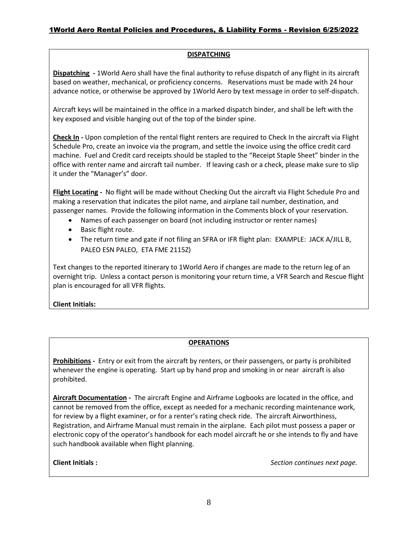#### **DISPATCHING**

**Dispatching -** 1World Aero shall have the final authority to refuse dispatch of any flight in its aircraft based on weather, mechanical, or proficiency concerns. Reservations must be made with 24 hour advance notice, or otherwise be approved by 1World Aero by text message in order to self-dispatch.

Aircraft keys will be maintained in the office in a marked dispatch binder, and shall be left with the key exposed and visible hanging out of the top of the binder spine.

**Check In -** Upon completion of the rental flight renters are required to Check In the aircraft via Flight Schedule Pro, create an invoice via the program, and settle the invoice using the office credit card machine. Fuel and Credit card receipts should be stapled to the "Receipt Staple Sheet" binder in the office with renter name and aircraft tail number. If leaving cash or a check, please make sure to slip it under the "Manager's" door.

**Flight Locating -** No flight will be made without Checking Out the aircraft via Flight Schedule Pro and making a reservation that indicates the pilot name, and airplane tail number, destination, and passenger names.Provide the following information in the Comments block of your reservation.

- Names of each passenger on board (not including instructor or renter names)
- Basic flight route.
- The return time and gate if not filing an SFRA or IFR flight plan: EXAMPLE: JACK A/JILL B, PALEO ESN PALEO, ETA FME 2115Z)

Text changes to the reported itinerary to 1World Aero if changes are made to the return leg of an overnight trip. Unless a contact person is monitoring your return time, a VFR Search and Rescue flight plan is encouraged for all VFR flights.

#### **Client Initials:**

#### **OPERATIONS**

**Prohibitions -** Entry or exit from the aircraft by renters, or their passengers, or party is prohibited whenever the engine is operating. Start up by hand prop and smoking in or near aircraft is also prohibited.

**Aircraft Documentation -** The aircraft Engine and Airframe Logbooks are located in the office, and cannot be removed from the office, except as needed for a mechanic recording maintenance work, for review by a flight examiner, or for a renter's rating check ride. The aircraft Airworthiness, Registration, and Airframe Manual must remain in the airplane. Each pilot must possess a paper or electronic copy of the operator's handbook for each model aircraft he or she intends to fly and have such handbook available when flight planning.

**Client Initials :** *Section continues next page.*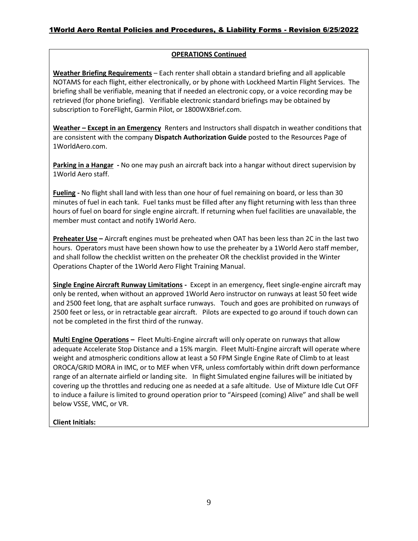#### **OPERATIONS Continued**

**Weather Briefing Requirements** – Each renter shall obtain a standard briefing and all applicable NOTAMS for each flight, either electronically, or by phone with Lockheed Martin Flight Services. The briefing shall be verifiable, meaning that if needed an electronic copy, or a voice recording may be retrieved (for phone briefing). Verifiable electronic standard briefings may be obtained by subscription to ForeFlight, Garmin Pilot, or 1800WXBrief.com.

**Weather – Except in an Emergency** Renters and Instructors shall dispatch in weather conditions that are consistent with the company **Dispatch Authorization Guide** posted to the Resources Page of 1WorldAero.com.

**Parking in a Hangar -** No one may push an aircraft back into a hangar without direct supervision by 1World Aero staff.

**Fueling -** No flight shall land with less than one hour of fuel remaining on board, or less than 30 minutes of fuel in each tank. Fuel tanks must be filled after any flight returning with less than three hours of fuel on board for single engine aircraft. If returning when fuel facilities are unavailable, the member must contact and notify 1World Aero.

**Preheater Use –** Aircraft engines must be preheated when OAT has been less than 2C in the last two hours. Operators must have been shown how to use the preheater by a 1World Aero staff member, and shall follow the checklist written on the preheater OR the checklist provided in the Winter Operations Chapter of the 1World Aero Flight Training Manual.

**Single Engine Aircraft Runway Limitations -** Except in an emergency, fleet single-engine aircraft may only be rented, when without an approved 1World Aero instructor on runways at least 50 feet wide and 2500 feet long, that are asphalt surface runways. Touch and goes are prohibited on runways of 2500 feet or less, or in retractable gear aircraft. Pilots are expected to go around if touch down can not be completed in the first third of the runway.

**Multi Engine Operations –** Fleet Multi-Engine aircraft will only operate on runways that allow adequate Accelerate Stop Distance and a 15% margin. Fleet Multi-Engine aircraft will operate where weight and atmospheric conditions allow at least a 50 FPM Single Engine Rate of Climb to at least OROCA/GRID MORA in IMC, or to MEF when VFR, unless comfortably within drift down performance range of an alternate airfield or landing site. In flight Simulated engine failures will be initiated by covering up the throttles and reducing one as needed at a safe altitude. Use of Mixture Idle Cut OFF to induce a failure is limited to ground operation prior to "Airspeed (coming) Alive" and shall be well below VSSE, VMC, or VR.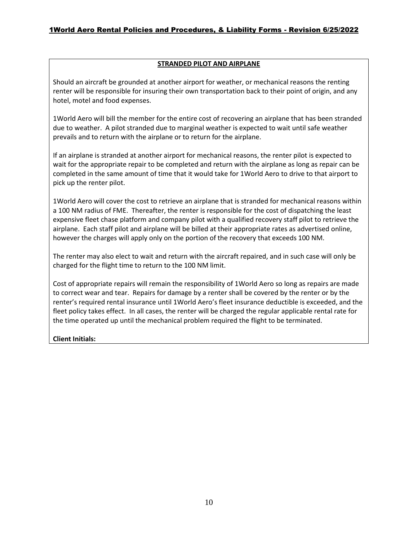#### **STRANDED PILOT AND AIRPLANE**

Should an aircraft be grounded at another airport for weather, or mechanical reasons the renting renter will be responsible for insuring their own transportation back to their point of origin, and any hotel, motel and food expenses.

1World Aero will bill the member for the entire cost of recovering an airplane that has been stranded due to weather. A pilot stranded due to marginal weather is expected to wait until safe weather prevails and to return with the airplane or to return for the airplane.

If an airplane is stranded at another airport for mechanical reasons, the renter pilot is expected to wait for the appropriate repair to be completed and return with the airplane as long as repair can be completed in the same amount of time that it would take for 1World Aero to drive to that airport to pick up the renter pilot.

1World Aero will cover the cost to retrieve an airplane that is stranded for mechanical reasons within a 100 NM radius of FME. Thereafter, the renter is responsible for the cost of dispatching the least expensive fleet chase platform and company pilot with a qualified recovery staff pilot to retrieve the airplane. Each staff pilot and airplane will be billed at their appropriate rates as advertised online, however the charges will apply only on the portion of the recovery that exceeds 100 NM.

The renter may also elect to wait and return with the aircraft repaired, and in such case will only be charged for the flight time to return to the 100 NM limit.

Cost of appropriate repairs will remain the responsibility of 1World Aero so long as repairs are made to correct wear and tear. Repairs for damage by a renter shall be covered by the renter or by the renter's required rental insurance until 1World Aero's fleet insurance deductible is exceeded, and the fleet policy takes effect. In all cases, the renter will be charged the regular applicable rental rate for the time operated up until the mechanical problem required the flight to be terminated.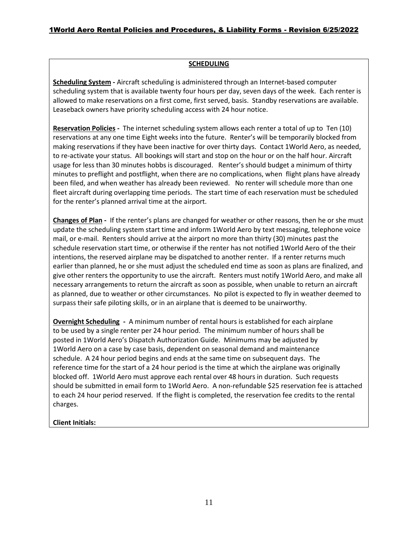#### **SCHEDULING**

**Scheduling System -** Aircraft scheduling is administered through an Internet-based computer scheduling system that is available twenty four hours per day, seven days of the week. Each renter is allowed to make reservations on a first come, first served, basis. Standby reservations are available. Leaseback owners have priority scheduling access with 24 hour notice.

**Reservation Policies -** The internet scheduling system allows each renter a total of up to Ten (10) reservations at any one time Eight weeks into the future. Renter's will be temporarily blocked from making reservations if they have been inactive for over thirty days. Contact 1World Aero, as needed, to re-activate your status. All bookings will start and stop on the hour or on the half hour. Aircraft usage for less than 30 minutes hobbs is discouraged. Renter's should budget a minimum of thirty minutes to preflight and postflight, when there are no complications, when flight plans have already been filed, and when weather has already been reviewed. No renter will schedule more than one fleet aircraft during overlapping time periods. The start time of each reservation must be scheduled for the renter's planned arrival time at the airport.

**Changes of Plan -** If the renter's plans are changed for weather or other reasons, then he or she must update the scheduling system start time and inform 1World Aero by text messaging, telephone voice mail, or e-mail. Renters should arrive at the airport no more than thirty (30) minutes past the schedule reservation start time, or otherwise if the renter has not notified 1World Aero of the their intentions, the reserved airplane may be dispatched to another renter. If a renter returns much earlier than planned, he or she must adjust the scheduled end time as soon as plans are finalized, and give other renters the opportunity to use the aircraft. Renters must notify 1World Aero, and make all necessary arrangements to return the aircraft as soon as possible, when unable to return an aircraft as planned, due to weather or other circumstances. No pilot is expected to fly in weather deemed to surpass their safe piloting skills, or in an airplane that is deemed to be unairworthy.

**Overnight Scheduling -** A minimum number of rental hours is established for each airplane to be used by a single renter per 24 hour period. The minimum number of hours shall be posted in 1World Aero's Dispatch Authorization Guide. Minimums may be adjusted by 1World Aero on a case by case basis, dependent on seasonal demand and maintenance schedule. A 24 hour period begins and ends at the same time on subsequent days. The reference time for the start of a 24 hour period is the time at which the airplane was originally blocked off. 1World Aero must approve each rental over 48 hours in duration. Such requests should be submitted in email form to 1World Aero. A non-refundable \$25 reservation fee is attached to each 24 hour period reserved. If the flight is completed, the reservation fee credits to the rental charges.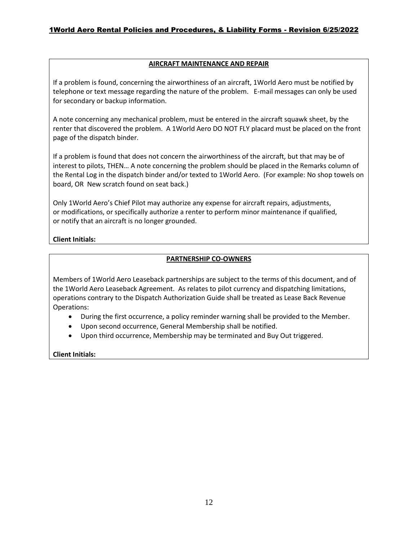#### **AIRCRAFT MAINTENANCE AND REPAIR**

If a problem is found, concerning the airworthiness of an aircraft, 1World Aero must be notified by telephone or text message regarding the nature of the problem. E-mail messages can only be used for secondary or backup information.

A note concerning any mechanical problem, must be entered in the aircraft squawk sheet, by the renter that discovered the problem. A 1World Aero DO NOT FLY placard must be placed on the front page of the dispatch binder.

If a problem is found that does not concern the airworthiness of the aircraft, but that may be of interest to pilots, THEN… A note concerning the problem should be placed in the Remarks column of the Rental Log in the dispatch binder and/or texted to 1World Aero. (For example: No shop towels on board, OR New scratch found on seat back.)

Only 1World Aero's Chief Pilot may authorize any expense for aircraft repairs, adjustments, or modifications, or specifically authorize a renter to perform minor maintenance if qualified, or notify that an aircraft is no longer grounded.

#### **Client Initials:**

#### **PARTNERSHIP CO-OWNERS**

Members of 1World Aero Leaseback partnerships are subject to the terms of this document, and of the 1World Aero Leaseback Agreement. As relates to pilot currency and dispatching limitations, operations contrary to the Dispatch Authorization Guide shall be treated as Lease Back Revenue Operations:

- During the first occurrence, a policy reminder warning shall be provided to the Member.
- Upon second occurrence, General Membership shall be notified.
- Upon third occurrence, Membership may be terminated and Buy Out triggered.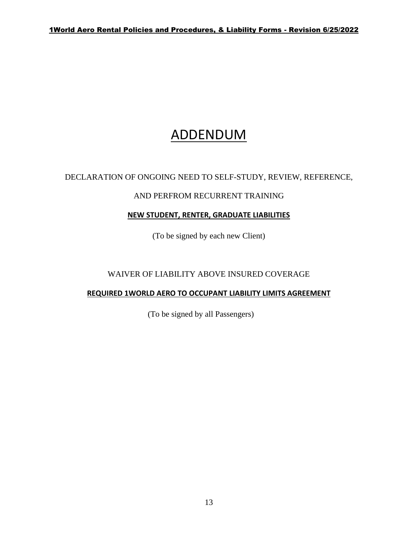## ADDENDUM

### DECLARATION OF ONGOING NEED TO SELF-STUDY, REVIEW, REFERENCE,

#### AND PERFROM RECURRENT TRAINING

#### **NEW STUDENT, RENTER, GRADUATE LIABILITIES**

(To be signed by each new Client)

### WAIVER OF LIABILITY ABOVE INSURED COVERAGE

#### **REQUIRED 1WORLD AERO TO OCCUPANT LIABILITY LIMITS AGREEMENT**

(To be signed by all Passengers)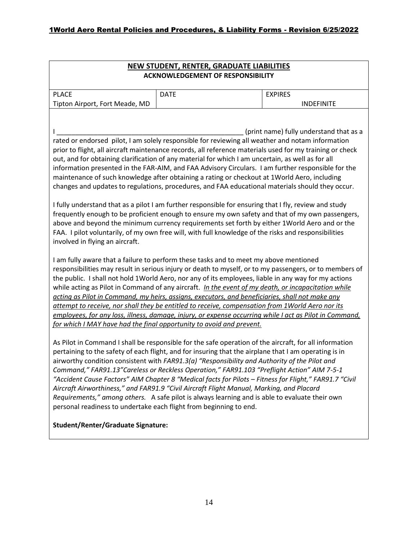| <b>NEW STUDENT, RENTER, GRADUATE LIABILITIES</b><br><b>ACKNOWLEDGEMENT OF RESPONSIBILITY</b>                                                                                                                                                                                                                                                                                                                                                                                                                                                                                                                                                                                                                                                                                                                                                                                                                                                                                                                                                                                                                                                                                                                                                                                                                                                                                                                                                                                                                                                       |             |                   |  |  |
|----------------------------------------------------------------------------------------------------------------------------------------------------------------------------------------------------------------------------------------------------------------------------------------------------------------------------------------------------------------------------------------------------------------------------------------------------------------------------------------------------------------------------------------------------------------------------------------------------------------------------------------------------------------------------------------------------------------------------------------------------------------------------------------------------------------------------------------------------------------------------------------------------------------------------------------------------------------------------------------------------------------------------------------------------------------------------------------------------------------------------------------------------------------------------------------------------------------------------------------------------------------------------------------------------------------------------------------------------------------------------------------------------------------------------------------------------------------------------------------------------------------------------------------------------|-------------|-------------------|--|--|
| <b>PLACE</b>                                                                                                                                                                                                                                                                                                                                                                                                                                                                                                                                                                                                                                                                                                                                                                                                                                                                                                                                                                                                                                                                                                                                                                                                                                                                                                                                                                                                                                                                                                                                       | <b>DATE</b> | <b>EXPIRES</b>    |  |  |
| Tipton Airport, Fort Meade, MD                                                                                                                                                                                                                                                                                                                                                                                                                                                                                                                                                                                                                                                                                                                                                                                                                                                                                                                                                                                                                                                                                                                                                                                                                                                                                                                                                                                                                                                                                                                     |             | <b>INDEFINITE</b> |  |  |
| (print name) fully understand that as a<br>rated or endorsed pilot, I am solely responsible for reviewing all weather and notam information<br>prior to flight, all aircraft maintenance records, all reference materials used for my training or check<br>out, and for obtaining clarification of any material for which I am uncertain, as well as for all<br>information presented in the FAR-AIM, and FAA Advisory Circulars. I am further responsible for the<br>maintenance of such knowledge after obtaining a rating or checkout at 1World Aero, including<br>changes and updates to regulations, procedures, and FAA educational materials should they occur.<br>I fully understand that as a pilot I am further responsible for ensuring that I fly, review and study<br>frequently enough to be proficient enough to ensure my own safety and that of my own passengers,<br>above and beyond the minimum currency requirements set forth by either 1World Aero and or the<br>FAA. I pilot voluntarily, of my own free will, with full knowledge of the risks and responsibilities<br>involved in flying an aircraft.<br>I am fully aware that a failure to perform these tasks and to meet my above mentioned<br>responsibilities may result in serious injury or death to myself, or to my passengers, or to members of<br>the public. I shall not hold 1World Aero, nor any of its employees, liable in any way for my actions<br>while acting as Pilot in Command of any aircraft. In the event of my death, or incapacitation while |             |                   |  |  |
| acting as Pilot in Command, my heirs, assigns, executors, and beneficiaries, shall not make any<br>attempt to receive, nor shall they be entitled to receive, compensation from 1World Aero nor its                                                                                                                                                                                                                                                                                                                                                                                                                                                                                                                                                                                                                                                                                                                                                                                                                                                                                                                                                                                                                                                                                                                                                                                                                                                                                                                                                |             |                   |  |  |
| employees, for any loss, illness, damage, injury, or expense occurring while I act as Pilot in Command,<br>for which I MAY have had the final opportunity to avoid and prevent.                                                                                                                                                                                                                                                                                                                                                                                                                                                                                                                                                                                                                                                                                                                                                                                                                                                                                                                                                                                                                                                                                                                                                                                                                                                                                                                                                                    |             |                   |  |  |
| As Pilot in Command I shall be responsible for the safe operation of the aircraft, for all information<br>pertaining to the safety of each flight, and for insuring that the airplane that I am operating is in<br>airworthy condition consistent with FAR91.3(a) "Responsibility and Authority of the Pilot and<br>Command," FAR91.13"Careless or Reckless Operation," FAR91.103 "Preflight Action" AIM 7-5-1<br>"Accident Cause Factors" AIM Chapter 8 "Medical facts for Pilots - Fitness for Flight," FAR91.7 "Civil<br>Aircraft Airworthiness," and FAR91.9 "Civil Aircraft Flight Manual, Marking, and Placard<br>Requirements," among others. A safe pilot is always learning and is able to evaluate their own<br>personal readiness to undertake each flight from beginning to end.                                                                                                                                                                                                                                                                                                                                                                                                                                                                                                                                                                                                                                                                                                                                                       |             |                   |  |  |

#### **Student/Renter/Graduate Signature:**